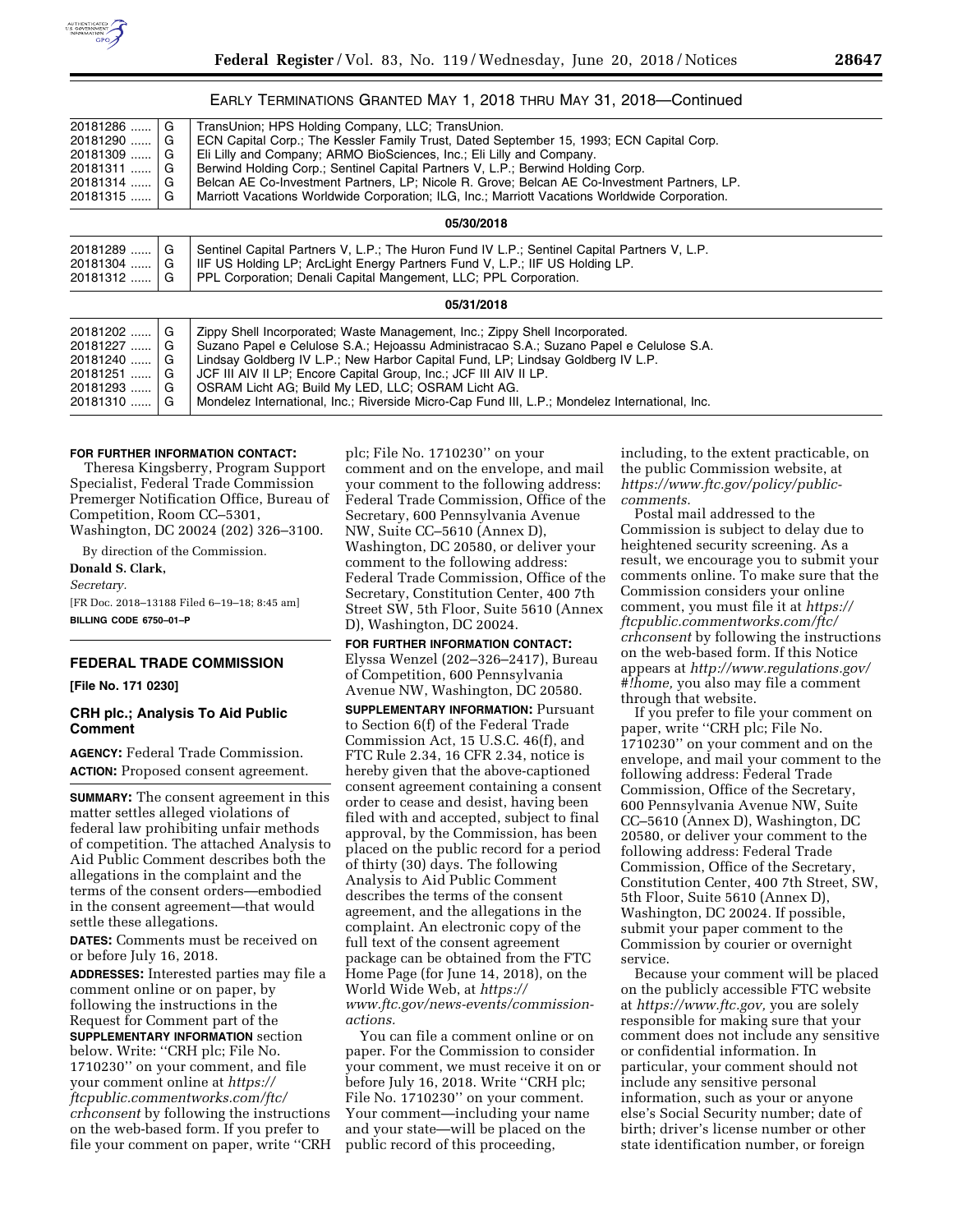

## EARLY TERMINATIONS GRANTED MAY 1, 2018 THRU MAY 31, 2018—Continued

| $20181286$ | G | TransUnion; HPS Holding Company, LLC; TransUnion.                                              |
|------------|---|------------------------------------------------------------------------------------------------|
| 20181290   | G | ECN Capital Corp.; The Kessler Family Trust, Dated September 15, 1993; ECN Capital Corp.       |
| $20181309$ | G | Eli Lilly and Company; ARMO BioSciences, Inc.; Eli Lilly and Company.                          |
| $20181311$ | G | Berwind Holding Corp.; Sentinel Capital Partners V, L.P.; Berwind Holding Corp.                |
| $20181314$ | G | Belcan AE Co-Investment Partners, LP; Nicole R. Grove; Belcan AE Co-Investment Partners, LP.   |
| 20181315   | G | Marriott Vacations Worldwide Corporation; ILG, Inc.; Marriott Vacations Worldwide Corporation. |
|            |   | 05/30/2018                                                                                     |
| $20181289$ | G | Sentinel Capital Partners V, L.P.; The Huron Fund IV L.P.; Sentinel Capital Partners V, L.P.   |
| 20181304   | G | IIF US Holding LP; ArcLight Energy Partners Fund V, L.P.; IIF US Holding LP.                   |
| $20181312$ | G | PPL Corporation; Denali Capital Mangement, LLC; PPL Corporation.                               |

| $20181202$ G<br>$20181227$ G<br>$20181240$ G<br>$20181251$ G<br>$20181293$<br>$20181310$ G | G | Zippy Shell Incorporated; Waste Management, Inc.; Zippy Shell Incorporated.<br>Suzano Papel e Celulose S.A.; Hejoassu Administracao S.A.; Suzano Papel e Celulose S.A.<br>Lindsay Goldberg IV L.P.; New Harbor Capital Fund, LP; Lindsay Goldberg IV L.P.<br>  JCF III AIV II LP; Encore Capital Group, Inc.; JCF III AIV II LP.<br>OSRAM Licht AG; Build My LED, LLC; OSRAM Licht AG.<br>Mondelez International, Inc.; Riverside Micro-Cap Fund III, L.P.; Mondelez International, Inc. |
|--------------------------------------------------------------------------------------------|---|------------------------------------------------------------------------------------------------------------------------------------------------------------------------------------------------------------------------------------------------------------------------------------------------------------------------------------------------------------------------------------------------------------------------------------------------------------------------------------------|
|                                                                                            |   |                                                                                                                                                                                                                                                                                                                                                                                                                                                                                          |

**05/31/2018** 

#### **FOR FURTHER INFORMATION CONTACT:**

Theresa Kingsberry, Program Support Specialist, Federal Trade Commission Premerger Notification Office, Bureau of Competition, Room CC–5301, Washington, DC 20024 (202) 326–3100.

By direction of the Commission.

**Donald S. Clark,**  *Secretary.*  [FR Doc. 2018–13188 Filed 6–19–18; 8:45 am] **BILLING CODE 6750–01–P** 

#### **FEDERAL TRADE COMMISSION**

**[File No. 171 0230]** 

#### **CRH plc.; Analysis To Aid Public Comment**

**AGENCY:** Federal Trade Commission. **ACTION:** Proposed consent agreement.

**SUMMARY:** The consent agreement in this matter settles alleged violations of federal law prohibiting unfair methods of competition. The attached Analysis to Aid Public Comment describes both the allegations in the complaint and the terms of the consent orders—embodied in the consent agreement—that would settle these allegations.

**DATES:** Comments must be received on or before July 16, 2018.

**ADDRESSES:** Interested parties may file a comment online or on paper, by following the instructions in the Request for Comment part of the **SUPPLEMENTARY INFORMATION** section below. Write: ''CRH plc; File No. 1710230'' on your comment, and file your comment online at *[https://](https://ftcpublic.commentworks.com/ftc/crhconsent) [ftcpublic.commentworks.com/ftc/](https://ftcpublic.commentworks.com/ftc/crhconsent)  [crhconsent](https://ftcpublic.commentworks.com/ftc/crhconsent)* by following the instructions on the web-based form. If you prefer to file your comment on paper, write ''CRH plc; File No. 1710230'' on your comment and on the envelope, and mail your comment to the following address: Federal Trade Commission, Office of the Secretary, 600 Pennsylvania Avenue NW, Suite CC–5610 (Annex D), Washington, DC 20580, or deliver your comment to the following address: Federal Trade Commission, Office of the Secretary, Constitution Center, 400 7th Street SW, 5th Floor, Suite 5610 (Annex D), Washington, DC 20024.

**FOR FURTHER INFORMATION CONTACT:**  Elyssa Wenzel (202–326–2417), Bureau of Competition, 600 Pennsylvania Avenue NW, Washington, DC 20580.

**SUPPLEMENTARY INFORMATION: Pursuant** to Section 6(f) of the Federal Trade Commission Act, 15 U.S.C. 46(f), and FTC Rule 2.34, 16 CFR 2.34, notice is hereby given that the above-captioned consent agreement containing a consent order to cease and desist, having been filed with and accepted, subject to final approval, by the Commission, has been placed on the public record for a period of thirty (30) days. The following Analysis to Aid Public Comment describes the terms of the consent agreement, and the allegations in the complaint. An electronic copy of the full text of the consent agreement package can be obtained from the FTC Home Page (for June 14, 2018), on the World Wide Web, at *[https://](https://www.ftc.gov/news-events/commission-actions) [www.ftc.gov/news-events/commission](https://www.ftc.gov/news-events/commission-actions)[actions.](https://www.ftc.gov/news-events/commission-actions)* 

You can file a comment online or on paper. For the Commission to consider your comment, we must receive it on or before July 16, 2018. Write ''CRH plc; File No. 1710230'' on your comment. Your comment—including your name and your state—will be placed on the public record of this proceeding,

including, to the extent practicable, on the public Commission website, at *[https://www.ftc.gov/](https://www.ftc.gov)policy/publiccomments.* 

Postal mail addressed to the Commission is subject to delay due to heightened security screening. As a result, we encourage you to submit your comments online. To make sure that the Commission considers your online comment, you must file it at *[https://](https://ftcpublic.commentworks.com/ftc/crhconsent) [ftcpublic.commentworks.com/ftc/](https://ftcpublic.commentworks.com/ftc/crhconsent)  [crhconsent](https://ftcpublic.commentworks.com/ftc/crhconsent)* by following the instructions on the web-based form. If this Notice appears at *[http://www.regulations.gov/](http://www.regulations.gov/#!home) [#!home,](http://www.regulations.gov/#!home)* you also may file a comment through that website.

If you prefer to file your comment on paper, write ''CRH plc; File No. 1710230'' on your comment and on the envelope, and mail your comment to the following address: Federal Trade Commission, Office of the Secretary, 600 Pennsylvania Avenue NW, Suite CC–5610 (Annex D), Washington, DC 20580, or deliver your comment to the following address: Federal Trade Commission, Office of the Secretary, Constitution Center, 400 7th Street, SW, 5th Floor, Suite 5610 (Annex D), Washington, DC 20024. If possible, submit your paper comment to the Commission by courier or overnight service.

Because your comment will be placed on the publicly accessible FTC website at *[https://www.ftc.gov,](https://www.ftc.gov)* you are solely responsible for making sure that your comment does not include any sensitive or confidential information. In particular, your comment should not include any sensitive personal information, such as your or anyone else's Social Security number; date of birth; driver's license number or other state identification number, or foreign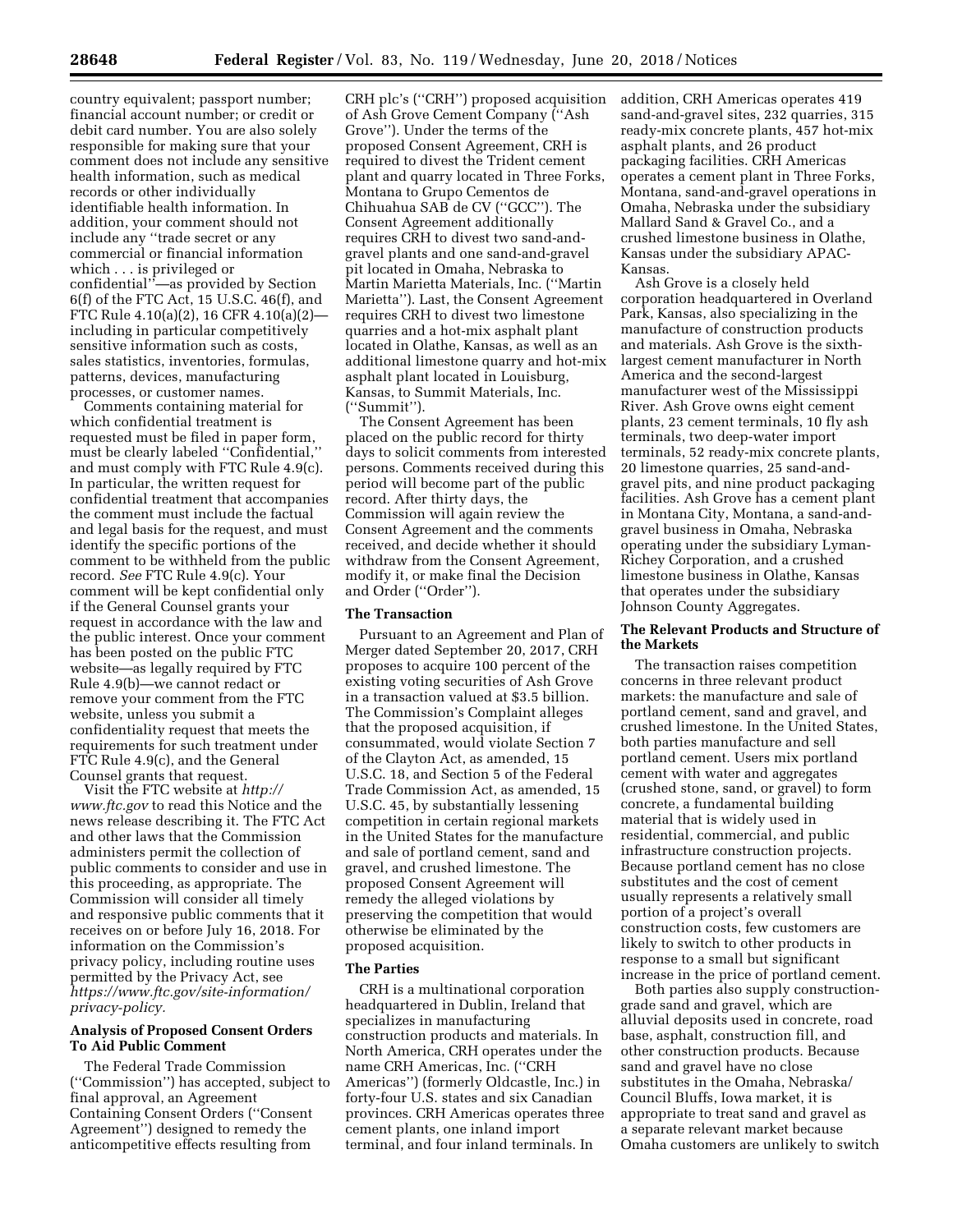country equivalent; passport number; financial account number; or credit or debit card number. You are also solely responsible for making sure that your comment does not include any sensitive health information, such as medical records or other individually identifiable health information. In addition, your comment should not include any ''trade secret or any commercial or financial information which . . . is privileged or confidential''—as provided by Section 6(f) of the FTC Act, 15 U.S.C. 46(f), and FTC Rule 4.10(a)(2), 16 CFR 4.10(a)(2) including in particular competitively sensitive information such as costs, sales statistics, inventories, formulas, patterns, devices, manufacturing processes, or customer names.

Comments containing material for which confidential treatment is requested must be filed in paper form, must be clearly labeled ''Confidential,'' and must comply with FTC Rule 4.9(c). In particular, the written request for confidential treatment that accompanies the comment must include the factual and legal basis for the request, and must identify the specific portions of the comment to be withheld from the public record. *See* FTC Rule 4.9(c). Your comment will be kept confidential only if the General Counsel grants your request in accordance with the law and the public interest. Once your comment has been posted on the public FTC website—as legally required by FTC Rule 4.9(b)—we cannot redact or remove your comment from the FTC website, unless you submit a confidentiality request that meets the requirements for such treatment under FTC Rule 4.9(c), and the General Counsel grants that request.

Visit the FTC website at *[http://](http://www.ftc.gov) [www.ftc.gov](http://www.ftc.gov)* to read this Notice and the news release describing it. The FTC Act and other laws that the Commission administers permit the collection of public comments to consider and use in this proceeding, as appropriate. The Commission will consider all timely and responsive public comments that it receives on or before July 16, 2018. For information on the Commission's privacy policy, including routine uses permitted by the Privacy Act, see *[https://www.ftc.gov/site-information/](https://www.ftc.gov/site-information/privacy-policy) [privacy-policy.](https://www.ftc.gov/site-information/privacy-policy)* 

#### **Analysis of Proposed Consent Orders To Aid Public Comment**

The Federal Trade Commission (''Commission'') has accepted, subject to final approval, an Agreement Containing Consent Orders (''Consent Agreement'') designed to remedy the anticompetitive effects resulting from

CRH plc's (''CRH'') proposed acquisition of Ash Grove Cement Company (''Ash Grove''). Under the terms of the proposed Consent Agreement, CRH is required to divest the Trident cement plant and quarry located in Three Forks, Montana to Grupo Cementos de Chihuahua SAB de CV (''GCC''). The Consent Agreement additionally requires CRH to divest two sand-andgravel plants and one sand-and-gravel pit located in Omaha, Nebraska to Martin Marietta Materials, Inc. (''Martin Marietta''). Last, the Consent Agreement requires CRH to divest two limestone quarries and a hot-mix asphalt plant located in Olathe, Kansas, as well as an additional limestone quarry and hot-mix asphalt plant located in Louisburg, Kansas, to Summit Materials, Inc. (''Summit'').

The Consent Agreement has been placed on the public record for thirty days to solicit comments from interested persons. Comments received during this period will become part of the public record. After thirty days, the Commission will again review the Consent Agreement and the comments received, and decide whether it should withdraw from the Consent Agreement, modify it, or make final the Decision and Order (''Order'').

#### **The Transaction**

Pursuant to an Agreement and Plan of Merger dated September 20, 2017, CRH proposes to acquire 100 percent of the existing voting securities of Ash Grove in a transaction valued at \$3.5 billion. The Commission's Complaint alleges that the proposed acquisition, if consummated, would violate Section 7 of the Clayton Act, as amended, 15 U.S.C. 18, and Section 5 of the Federal Trade Commission Act, as amended, 15 U.S.C. 45, by substantially lessening competition in certain regional markets in the United States for the manufacture and sale of portland cement, sand and gravel, and crushed limestone. The proposed Consent Agreement will remedy the alleged violations by preserving the competition that would otherwise be eliminated by the proposed acquisition.

#### **The Parties**

CRH is a multinational corporation headquartered in Dublin, Ireland that specializes in manufacturing construction products and materials. In North America, CRH operates under the name CRH Americas, Inc. (''CRH Americas'') (formerly Oldcastle, Inc.) in forty-four U.S. states and six Canadian provinces. CRH Americas operates three cement plants, one inland import terminal, and four inland terminals. In

addition, CRH Americas operates 419 sand-and-gravel sites, 232 quarries, 315 ready-mix concrete plants, 457 hot-mix asphalt plants, and 26 product packaging facilities. CRH Americas operates a cement plant in Three Forks, Montana, sand-and-gravel operations in Omaha, Nebraska under the subsidiary Mallard Sand & Gravel Co., and a crushed limestone business in Olathe, Kansas under the subsidiary APAC-Kansas.

Ash Grove is a closely held corporation headquartered in Overland Park, Kansas, also specializing in the manufacture of construction products and materials. Ash Grove is the sixthlargest cement manufacturer in North America and the second-largest manufacturer west of the Mississippi River. Ash Grove owns eight cement plants, 23 cement terminals, 10 fly ash terminals, two deep-water import terminals, 52 ready-mix concrete plants, 20 limestone quarries, 25 sand-andgravel pits, and nine product packaging facilities. Ash Grove has a cement plant in Montana City, Montana, a sand-andgravel business in Omaha, Nebraska operating under the subsidiary Lyman-Richey Corporation, and a crushed limestone business in Olathe, Kansas that operates under the subsidiary Johnson County Aggregates.

#### **The Relevant Products and Structure of the Markets**

The transaction raises competition concerns in three relevant product markets: the manufacture and sale of portland cement, sand and gravel, and crushed limestone. In the United States, both parties manufacture and sell portland cement. Users mix portland cement with water and aggregates (crushed stone, sand, or gravel) to form concrete, a fundamental building material that is widely used in residential, commercial, and public infrastructure construction projects. Because portland cement has no close substitutes and the cost of cement usually represents a relatively small portion of a project's overall construction costs, few customers are likely to switch to other products in response to a small but significant increase in the price of portland cement.

Both parties also supply constructiongrade sand and gravel, which are alluvial deposits used in concrete, road base, asphalt, construction fill, and other construction products. Because sand and gravel have no close substitutes in the Omaha, Nebraska/ Council Bluffs, Iowa market, it is appropriate to treat sand and gravel as a separate relevant market because Omaha customers are unlikely to switch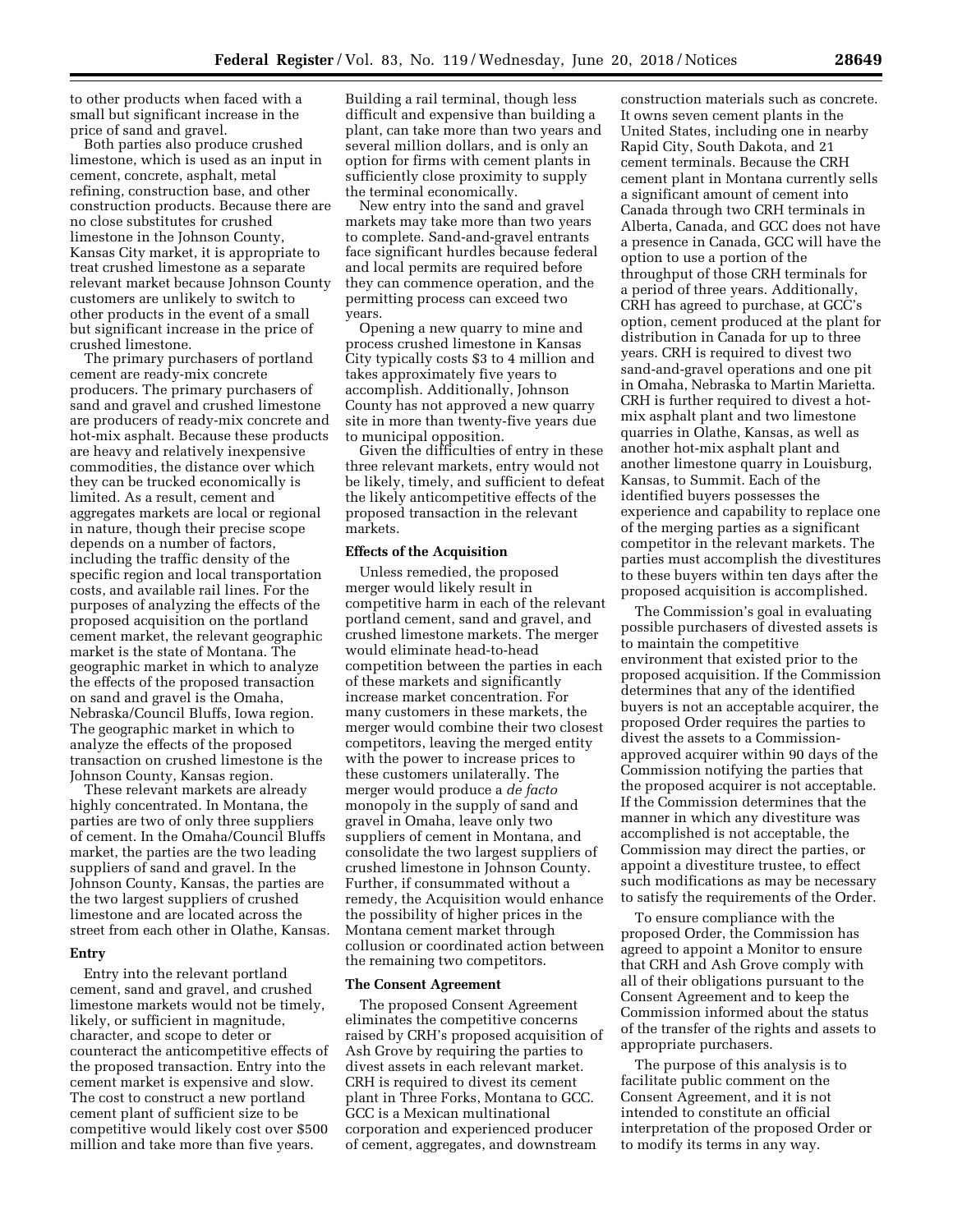to other products when faced with a small but significant increase in the price of sand and gravel.

Both parties also produce crushed limestone, which is used as an input in cement, concrete, asphalt, metal refining, construction base, and other construction products. Because there are no close substitutes for crushed limestone in the Johnson County, Kansas City market, it is appropriate to treat crushed limestone as a separate relevant market because Johnson County customers are unlikely to switch to other products in the event of a small but significant increase in the price of crushed limestone.

The primary purchasers of portland cement are ready-mix concrete producers. The primary purchasers of sand and gravel and crushed limestone are producers of ready-mix concrete and hot-mix asphalt. Because these products are heavy and relatively inexpensive commodities, the distance over which they can be trucked economically is limited. As a result, cement and aggregates markets are local or regional in nature, though their precise scope depends on a number of factors, including the traffic density of the specific region and local transportation costs, and available rail lines. For the purposes of analyzing the effects of the proposed acquisition on the portland cement market, the relevant geographic market is the state of Montana. The geographic market in which to analyze the effects of the proposed transaction on sand and gravel is the Omaha, Nebraska/Council Bluffs, Iowa region. The geographic market in which to analyze the effects of the proposed transaction on crushed limestone is the Johnson County, Kansas region.

These relevant markets are already highly concentrated. In Montana, the parties are two of only three suppliers of cement. In the Omaha/Council Bluffs market, the parties are the two leading suppliers of sand and gravel. In the Johnson County, Kansas, the parties are the two largest suppliers of crushed limestone and are located across the street from each other in Olathe, Kansas.

#### **Entry**

Entry into the relevant portland cement, sand and gravel, and crushed limestone markets would not be timely, likely, or sufficient in magnitude, character, and scope to deter or counteract the anticompetitive effects of the proposed transaction. Entry into the cement market is expensive and slow. The cost to construct a new portland cement plant of sufficient size to be competitive would likely cost over \$500 million and take more than five years.

Building a rail terminal, though less difficult and expensive than building a plant, can take more than two years and several million dollars, and is only an option for firms with cement plants in sufficiently close proximity to supply the terminal economically.

New entry into the sand and gravel markets may take more than two years to complete. Sand-and-gravel entrants face significant hurdles because federal and local permits are required before they can commence operation, and the permitting process can exceed two years.

Opening a new quarry to mine and process crushed limestone in Kansas City typically costs \$3 to 4 million and takes approximately five years to accomplish. Additionally, Johnson County has not approved a new quarry site in more than twenty-five years due to municipal opposition.

Given the difficulties of entry in these three relevant markets, entry would not be likely, timely, and sufficient to defeat the likely anticompetitive effects of the proposed transaction in the relevant markets.

#### **Effects of the Acquisition**

Unless remedied, the proposed merger would likely result in competitive harm in each of the relevant portland cement, sand and gravel, and crushed limestone markets. The merger would eliminate head-to-head competition between the parties in each of these markets and significantly increase market concentration. For many customers in these markets, the merger would combine their two closest competitors, leaving the merged entity with the power to increase prices to these customers unilaterally. The merger would produce a *de facto*  monopoly in the supply of sand and gravel in Omaha, leave only two suppliers of cement in Montana, and consolidate the two largest suppliers of crushed limestone in Johnson County. Further, if consummated without a remedy, the Acquisition would enhance the possibility of higher prices in the Montana cement market through collusion or coordinated action between the remaining two competitors.

#### **The Consent Agreement**

The proposed Consent Agreement eliminates the competitive concerns raised by CRH's proposed acquisition of Ash Grove by requiring the parties to divest assets in each relevant market. CRH is required to divest its cement plant in Three Forks, Montana to GCC. GCC is a Mexican multinational corporation and experienced producer of cement, aggregates, and downstream

construction materials such as concrete. It owns seven cement plants in the United States, including one in nearby Rapid City, South Dakota, and 21 cement terminals. Because the CRH cement plant in Montana currently sells a significant amount of cement into Canada through two CRH terminals in Alberta, Canada, and GCC does not have a presence in Canada, GCC will have the option to use a portion of the throughput of those CRH terminals for a period of three years. Additionally, CRH has agreed to purchase, at GCC's option, cement produced at the plant for distribution in Canada for up to three years. CRH is required to divest two sand-and-gravel operations and one pit in Omaha, Nebraska to Martin Marietta. CRH is further required to divest a hotmix asphalt plant and two limestone quarries in Olathe, Kansas, as well as another hot-mix asphalt plant and another limestone quarry in Louisburg, Kansas, to Summit. Each of the identified buyers possesses the experience and capability to replace one of the merging parties as a significant competitor in the relevant markets. The parties must accomplish the divestitures to these buyers within ten days after the proposed acquisition is accomplished.

The Commission's goal in evaluating possible purchasers of divested assets is to maintain the competitive environment that existed prior to the proposed acquisition. If the Commission determines that any of the identified buyers is not an acceptable acquirer, the proposed Order requires the parties to divest the assets to a Commissionapproved acquirer within 90 days of the Commission notifying the parties that the proposed acquirer is not acceptable. If the Commission determines that the manner in which any divestiture was accomplished is not acceptable, the Commission may direct the parties, or appoint a divestiture trustee, to effect such modifications as may be necessary to satisfy the requirements of the Order.

To ensure compliance with the proposed Order, the Commission has agreed to appoint a Monitor to ensure that CRH and Ash Grove comply with all of their obligations pursuant to the Consent Agreement and to keep the Commission informed about the status of the transfer of the rights and assets to appropriate purchasers.

The purpose of this analysis is to facilitate public comment on the Consent Agreement, and it is not intended to constitute an official interpretation of the proposed Order or to modify its terms in any way.